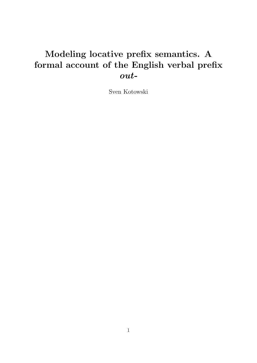# Modeling locative prefix semantics. A formal account of the English verbal prefix out-

Sven Kotowski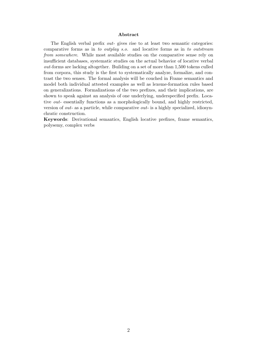#### Abstract

The English verbal prefix *out-* gives rise to at least two semantic categories: comparative forms as in to outplay s.o. and locative forms as in to outstream from somewhere. While most available studies on the comparative sense rely on insufficient databases, systematic studies on the actual behavior of locative verbal out-forms are lacking altogether. Building on a set of more than 1,500 tokens culled from corpora, this study is the first to systematically analyze, formalize, and contrast the two senses. The formal analysis will be couched in Frame semantics and model both individual attested examples as well as lexeme-formation rules based on generalizations. Formalizations of the two prefixes, and their implications, are shown to speak against an analysis of one underlying, underspecified prefix. Locative *out*- essentially functions as a morphologically bound, and highly restricted, version of out- as a particle, while comparative out- is a highly specialized, idiosynchratic construction.

Keywords: Derivational semantics, English locative prefixes, frame semantics, polysemy, complex verbs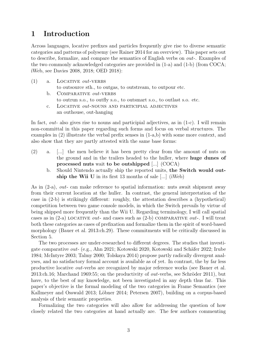# 1 Introduction

Across languages, locative prefixes and particles frequently give rise to diverse semantic categories and patterns of polysemy (see Rainer 2014 for an overview). This paper sets out to describe, formalize, and compare the semantics of English verbs on  $out$ -. Examples of the two commonly acknowledged categories are provided in (1-a) and (1-b) (from COCA; iWeb, see Davies 2008, 2018; OED 2018):

- $(1)$  a. LOCATIVE *out*-VERBS to outsource sth., to outgas, to outstream, to outpour etc. b. COMPARATIVE *out*-VERBS
	- to outrun s.o., to outfly s.o., to outsmart s.o., to outlast s.o. etc.
	- c. Locative out-nouns and participial adjectives an outhouse, out-hanging

In fact, *out*- also gives rise to nouns and participial adjectives, as in  $(1-c)$ . I will remain non-committal in this paper regarding such forms and focus on verbal structures. The examples in (2) illustrate the verbal prefix senses in (1-a,b) with some more context, and also show that they are partly attested with the same base forms:

- (2) a. [...] the men believe it has been pretty clear from the amount of nuts on the ground and in the trailers headed to the huller, where huge dunes of processed nuts wait to be outshipped [...] (COCA)
	- b. Should Nintendo actually ship the reported units, the Switch would outship the Wii U in its first 13 months of sale [...] (iWeb)

As in (2-a), out- can make reference to spatial information: nuts await shipment away from their current location at the huller. In contrast, the general interpretation of the case in (2-b) is strikingly different: roughly, the attestation describes a (hypothetical) competition between two game console models, in which the Switch prevails by virtue of being shipped more frequently than the Wii U. Regarding terminology, I will call spatial cases as in  $(2-a)$  LOCATIVE *out*- and cases such as  $(2-b)$  COMPARATIVE *out*-. I will treat both these categories as cases of prefixation and formalize them in the spirit of word-based morphology (Bauer et al. 2013:ch.29). These commitments will be critically discussed in Section 5.

The two processes are under-researched to different degrees. The studies that investigate comparative *out*- (e.g., Ahn 2021; Kotowski 2020, Kotowski and Schäfer 2022; Irube 1984; McIntyre 2003; Talmy 2000; Tolskaya 2014) propose partly radically divergent analyses, and no satisfactory formal account is available as of yet. In contrast, the by far less productive locative out-verbs are recognized by major reference works (see Bauer et al. 2013:ch.16; Marchand 1969:55; on the productivity of *out*-verbs, see Schröder 2011), but have, to the best of my knowledge, not been investigated in any depth thus far. This paper's objective is the formal modeling of the two categories in Frame Semantics (see Kallmeyer and Osswald 2013; Löbner 2014; Petersen 2007), building on a corpus-based analysis of their semantic properties.

Formalizing the two categories will also allow for addressing the question of how closely related the two categories at hand actually are. The few authors commenting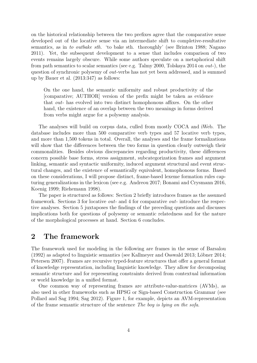on the historical relationship between the two prefixes agree that the comparative sense developed out of the locative sense via an intermediate shift to completive-resultative semantics, as in to outbake sth. 'to bake sth. thoroughly' (see Brinton 1988; Nagano 2011). Yet, the subsequent development to a sense that includes comparison of two events remains largely obscure. While some authors speculate on a metaphorical shift from path semantics to scalar semantics (see e.g. Talmy 2000, Tolskaya 2014 on out-), the question of synchronic polysemy of out-verbs has not yet been addressed, and is summed up by Bauer et al. (2013:347) as follows:

On the one hand, the semantic uniformity and robust productivity of the [comparative; AUTHOR] version of the prefix might be taken as evidence that out- has evolved into two distinct homophonous affixes. On the other hand, the existence of an overlap between the two meanings in forms derived from verbs might argue for a polysemy analysis.

The analyses will build on corpus data, culled from mostly COCA and iWeb. The database includes more than 500 comparative verb types and 57 locative verb types, and more than 1,500 tokens in total. Overall, the analyses and the frame formalizations will show that the differences between the two forms in question clearly outweigh their commonalities. Besides obvious discrepancies regarding productivity, these differences concern possible base forms, stress assignment, subcategorization frames and argument linking, semantic and syntactic uniformity, induced argument structural and event structural changes, and the existence of semantically equivalent, homophonous forms. Based on these considerations, I will propose distinct, frame-based lexeme formation rules capturing generalizations in the lexicon (see e.g. Andreou 2017; Bonami and Crysmann 2016, Koenig 1999; Riehemann 1998).

The paper is structured as follows: Section 2 briefly introduces frames as the assumed framework. Sections 3 for locative out- and 4 for comparative out- introduce the respective analyses. Section 5 juxtaposes the findings of the preceding questions and discusses implications both for questions of polysemy or semantic relatedness and for the nature of the morphological processes at hand. Section 6 concludes.

# 2 The framework

The framework used for modeling in the following are frames in the sense of Barsalou  $(1992)$  as adapted to linguistic semantics (see Kallmeyer and Osswald 2013; Löbner 2014; Petersen 2007). Frames are recursive typed-feature structures that offer a general format of knowledge representation, including linguistic knowledge. They allow for decomposing semantic structure and for representing constraints derived from contextual information or world knowledge in a unified format.

One common way of representing frames are attribute-value-matrices (AVMs), as also used in other frameworks such as HPSG or Sign-based Construction Grammar (see Pollard and Sag 1994; Sag 2012). Figure 1, for example, depicts an AVM-representation of the frame semantic structure of the sentence The boy is lying on the sofa.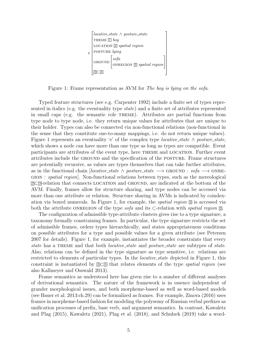

Figure 1: Frame representation as AVM for The boy is lying on the sofa.

Typed feature structures (see e.g. Carpenter 1992) include a finite set of types represented in italics (e.g. the eventuality type state) and a finite set of attributes represented in small caps (e.g. the semantic role theme). Attributes are partial functions from type node to type node, i.e. they return unique values for attributes that are unique to their holder. Types can also be connected via non-functional relations (non-functional in the sense that they constitute one-to-many mappings, i.e. do not return unique values). Figure 1 represents an eventuality 'e' of the complex type *locative\_state*  $\land$  *posture\_state*, which shows a node can have more than one type as long as types are compatible. Event participants are attributes of the event type, here theme and location. Further event attributes include the ground and the specification of the posture. Frame structures are potentially recursive, as values are types themselves that can take further attributes, as in the functional chain [locative\_state  $\land$  posture\_state  $\longrightarrow$  GROUND : sofa  $\longrightarrow$  ONREgion : spatial region]. Non-functional relations between types, such as the mereological <sup>2</sup>⊂<sup>3</sup> -relation that connects location and ground, are indicated at the bottom of the AVM. Finally, frames allow for structure sharing, and type nodes can be accessed via more than one attribute or relation. Structure sharing in AVMs is indicated by coindexation via boxed numerals. In Figure 1, for example, the *spatial region*  $\mathbb{S}$  is accessed via both the attribute ONREGION of the type sofa and its  $\subset$ -relation with spatial region  $\mathbb{Z}$ .

The configuration of admissible type-attribute clusters gives rise to a type signature, a taxonomy formally constraining frames. In particular, the type signature restricts the set of admissible frames, orders types hierarchically, and states appropriateness conditions on possible attributes for a type and possible values for a given attribute (see Petersen 2007 for details). Figure 1, for example, instantiates the broader constraints that every state has a THEME and that both *locative\_state* and *posture\_state* are subtypes of *state*. Also, relations can be defined in the type signature as type sensitive, i.e. relations are restricted to elements of particular types. In the *locative\_state* depicted in Figure 1, this constraint is instantiated by  $\mathbb{Z}\subset \mathbb{S}$  that relates elements of the type *spatial region* (see also Kallmeyer and Osswald 2013).

Frame semantics as understood here has given rise to a number of different analyses of derivational semantics. The nature of the framework is in essence independent of grander morphological issues, and both morpheme-based as well as word-based models (see Bauer et al. 2013:ch.29) can be formalized as frames. For example, Zinova (2016) uses frames in morpheme-based fashion for modeling the polysemy of Russian verbal prefixes as unification processes of prefix, base verb, and argument semantics. In contrast, Kawaletz and Plag (2015), Kawaletz (2021), Plag et al. (2018), and Schulzek (2019) take a word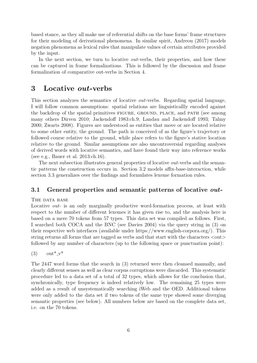based stance, as they all make use of referential shifts on the base forms' frame structures for their modeling of derivational phenomena. In similar spirit, Andreou (2017) models negation phenomena as lexical rules that manipulate values of certain attributes provided by the input.

In the next section, we turn to locative *out*-verbs, their properties, and how these can be captured in frame formalizations. This is followed by the discussion and frame formalization of comparative out-verbs in Section 4.

### 3 Locative out-verbs

This section analyzes the semantics of locative out-verbs. Regarding spatial language, I will follow common assumptions: spatial relations are linguisticallly encoded against the backdrop of the spatial primitives figure, ground, place, and path (see among many others Dirven 2010; Jackendoff 1983:ch.9; Landau and Jackendoff 1993; Talmy 2000; Zwarts 2008). Figures are understood as entities that move or are located relative to some other entity, the ground. The path is conceived of as the figure's trajectory or followed course relative to the ground, while place refers to the figure's stative location relative to the ground. Similar assumptions are also uncontroversial regarding analyses of derived words with locative semantics, and have found their way into reference works (see e.g., Bauer et al. 2013:ch.16).

The next subsection illustrates general properties of locative *out*-verbs and the semantic patterns the construction occurs in. Section 3.2 models affix-base-interaction, while section 3.3 generalizes over the findings and formulates lexeme formation rules.

### 3.1 General properties and semantic patterns of locative *out*-

THE DATA BASE

Locative *out*- is an only marginally productive word-formation process, at least with respect to the number of different lexemes it has given rise to, and the analysis here is based on a mere 70 tokens from 57 types. This data set was compiled as follows. First, I searched both COCA and the BNC (see Davies 2004) via the query string in (3) on their respective web interfaces (available under https://www.english-corpora.org/). This string returns all forms that are tagged as verbs and that start with the characters  $\langle \text{out} \rangle$ followed by any number of characters (up to the following space or punctuation point):

 $(3)$  out<sup>\*</sup><sub>-V</sub>\*

The 2447 word forms that the search in (3) returned were then cleansed manually, and clearly different senses as well as clear corpus corruptions were discarded. This systematic procedure led to a data set of a total of 32 types, which allows for the conclusion that, synchronically, type frequency is indeed relatively low. The remaining 25 types were added as a result of unsystematically searching iWeb and the OED. Additional tokens were only added to the data set if two tokens of the same type showed some diverging semantic properties (see below). All numbers below are based on the complete data set, i.e. on the 70 tokens.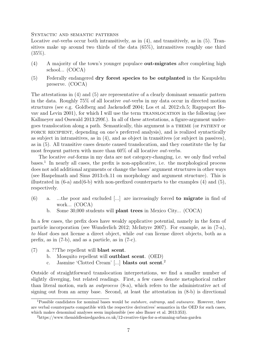Syntactic and semantic patterns

Locative *out*-verbs occur both intransitively, as in (4), and transitively, as in (5). Transitives make up around two thirds of the data (65%), intransitives roughly one third  $(35\%).$ 

- (4) A majority of the town's younger populace out-migrates after completing high school... (COCA)
- (5) Federally endangered dry forest species to be outplanted in the Kaupulehu preserve. (COCA)

The attestations in (4) and (5) are representative of a clearly dominant semantic pattern in the data. Roughly 75% of all locative out-verbs in my data occur in directed motion structures (see e.g. Goldberg and Jackendoff 2004; Los et al. 2012:ch.5; Rappaport Hovav and Levin 2001), for which I will use the term translocation in the following (see Kallmeyer and Osswald 2013:299f.). In all of these attestations, a figure-argument undergoes translocation along a path. Semantically, this argument is a theme (or patient or FORCE RECIPIENT, depending on one's preferred analysis), and is realized syntactically as subject in intransitives, as in (4), and as object in transitives (or subject in passives), as in (5). All transitive cases denote caused translocation, and they constitute the by far most frequent pattern with more than 60% of all locative out-verbs.

The locative *out*-forms in my data are not category-changing, i.e. we only find verbal bases.<sup>1</sup> In nearly all cases, the prefix is non-applicative, i.e. the morphological process does not add additional arguments or change the bases' argument structures in other ways (see Haspelmath and Sims 2013:ch.11 on morphology and argument structure). This is illustrated in  $(6-a)$  and  $(6-b)$  with non-prefixed counterparts to the examples  $(4)$  and  $(5)$ , respectively.

- (6) a. ...the poor and excluded [...] are increasingly forced to migrate in find of work... (COCA)
	- b. Some 30,000 students will plant trees in Mexico City... (COCA)

In a few cases, the prefix does have weakly applicative potential, namely in the form of particle incorporation (see Wunderlich 2012; McIntyre 2007). For example, as in (7-a), to blast does not license a direct object, while out can license direct objects, both as a prefix, as in (7-b), and as a particle, as in (7-c).

- (7) a. ??The repellent will blast scent.
	- b. Mosquito repellent will outblast scent. (OED)
	- c. Jasmine 'Clotted Cream' [...] blasts out scent. 2

Outside of straightforward translocation interpretations, we find a smaller number of slightly diverging, but related readings. First, a few cases denote metaphorical rather than literal motion, such as outprocess (8-a), which refers to the administrative act of signing out from an army base. Second, at least the attestation in (8-b) is directional

<sup>&</sup>lt;sup>1</sup>Possible candidates for nominal bases would be *outshore*, *outramp*, and *outsource*. However, there are verbal counterparts compatible with the respective derivatives' semantics in the OED for such cases, which makes denominal analyses seem implausible (see also Bauer et al. 2013:353).

<sup>2</sup>https://www.themiddlesizedgarden.co.uk/12-creative-tips-for-a-stunning-urban-garden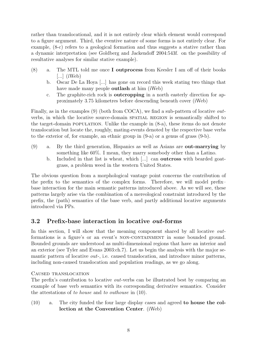rather than translocational, and it is not entirely clear which element would correspond to a figure argument. Third, the eventive nature of some forms is not entirely clear. For example, (8-c) refers to a geological formation and thus suggests a stative rather than a dynamic interpretation (see Goldberg and Jackendoff 2004:543f. on the possibility of resultative analyses for similar stative example).

- $(8)$  a. The MTL told me once **I outprocess** from Keesler I am off of their books [...]  $(iWeb)$ 
	- b. Oscar De La Hoya [...] has gone on record this week stating two things that have made many people **outlash** at him (iWeb)
	- c. The graphite-rich rock is outcropping in a north easterly direction for approximately 3.75 kilometres before descending beneath cover (iWeb)

Finally, as in the examples (9) (both from COCA), we find a sub-pattern of locative outverbs, in which the locative source-domain SPATIAL REGION is semantically shifted to the target-domain population. Unlike the example in (8-a), these items do not denote translocation but locate the, roughly, mating-events denoted by the respective base verbs to the exterior of, for example, an ethnic group in (9-a) or a genus of grass (9-b).

- (9) a. By the third generation, Hispanics as well as Asians are out-marrying by something like 60%. I mean, they marry somebody other than a Latino.
	- b. Included in that list is wheat, which [...] can outcross with bearded goatgrass, a problem weed in the western United States.

The obvious question from a morphological vantage point concerns the contribution of the prefix to the semantics of the complex forms. Therefore, we will model prefix– base interaction for the main semantic patterns introduced above. As we will see, these patterns largely arise via the combination of a mereological constraint introduced by the prefix, the (path) semantics of the base verb, and partly additional locative arguments introduced via PPs.

### 3.2 Prefix-base interaction in locative out-forms

In this section, I will show that the meaning component shared by all locative *out*formations is a figure's or an event's NON-CONTAINMENT in some bounded ground. Bounded grounds are understood as multi-dimensional regions that have an interior and an exterior (see Tyler and Evans 2003:ch.7). Let us begin the analysis with the major semantic pattern of locative out-, i.e. caused translocation, and introduce minor patterns, including non-caused translocation and population readings, as we go along.

### Caused translocation

The prefix's contribution to locative *out*-verbs can be illustrated best by comparing an example of base verb semantics with its corresponding derivative semantics. Consider the attestations of to house and to outhouse in (10).

(10) a. The city funded the four large display cases and agreed to house the collection at the Convention Center. (iWeb)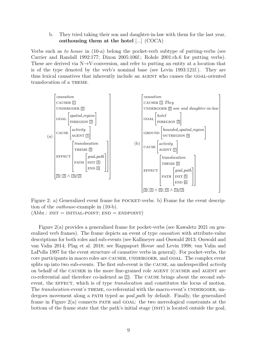b. They tried taking their son and daughter-in-law with them for the last year, outhousing them at the hotel [...] (COCA)

Verbs such as to house in (10-a) belong the pocket-verb subtype of putting-verbs (see Carrier and Randall 1992:177; Dixon 2005:106f.; Rohde 2001:ch.6 for putting verbs). These are derived via  $N\rightarrow V$ -conversion, and refer to putting an entity at a location that is of the type denoted by the verb's nominal base (see Levin 1993:121f.). They are thus lexical causatives that inherently include an agent who causes the goal-oriented translocation of a THEME.



Figure 2: a) Generalized event frame for POCKET-verbs. b) Frame for the event description of the outhouse-example in (10-b).

 $(Abbr: INT = INTIAL-POINT; END = ENDPOINT)$ 

Figure 2(a) provides a generalized frame for pocket-verbs (see Kawaletz 2021 on generalized verb frames). The frame depicts an event of type causation with attribute-value descriptions for both roles and sub-events (see Kallmeyer and Osswald 2013; Osswald and van Valin 2014; Plag et al. 2018; see Rappaport Hovav and Levin 1998; van Valin and LaPolla 1997 for the event structure of causative verbs in general). For pocket-verbs, the core participants in macro roles are CAUSER, UNDERGOER, and GOAL. The complex event splits up into two sub-events. The first sub-event is the CAUSE, an underspecified *activity* on behalf of the CAUSER in the more fine-grained role AGENT (CAUSER and AGENT are co-referential and therefore co-indexed as  $\Box$ ). The CAUSE brings about the second subevent, the EFFECT, which is of type *translocation* and constitutes the locus of motion. The *translocation*-event's THEME, co-referential with the macro-event's UNDERGOER, undergoes movement along a PATH typed as *goal path* by default. Finally, the generalized frame in Figure  $2(a)$  connects PATH and GOAL: the two mereological constraints at the bottom of the frame state that the path's initial stage (INIT) is located outside the goal,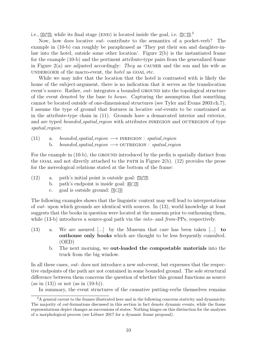i.e.,  $\mathbb{I}\subset\mathbb{Z}$ , while its final stage (END) is located inside the goal, i.e.  $5\subset 3^3$ .

Now, how does locative out- contribute to the semantics of a pocket-verb? The example in (10-b) can roughly be paraphrased as 'They put their son and daughter-inlaw into the hotel, outside some other location'. Figure 2(b) is the instantiated frame for the example (10-b) and the pertinent attribute-type pairs from the generalized frame in Figure 2(a) are adjusted accordingly: They as CAUSER and the son and his wife as undergoen of the macro-event, the *hotel* as GOAL etc.

While we may infer that the location that the hotel is contrasted with is likely the home of the subject-argument, there is no indication that it serves as the translocation event's source. Rather, *out*-integrates a bounded GROUND into the topological structure of the event denoted by the base to house. Capturing the assumption that something cannot be located outside of one-dimensional structures (see Tyler and Evans 2003:ch.7), I assume the type of ground that features in locative out-events to be constrained as in the attribute-type chain in (11). Grounds have a demarcated interior and exterior, and are typed *bounded\_spatial\_region* with attributes INREGION and OUTREGION of type spatial\_region:

(11) a. bounded\_spatial\_region  $\longrightarrow$  INREGION : spatial\_region b. bounded\_spatial\_region  $\longrightarrow$  OUTREGION : spatial\_region

For the example in (10-b), the GROUND introduced by the prefix is spatially distinct from the GOAL and not directly attached to the PATH in Figure  $2(b)$ . (12) provides the prose for the mereological relations stated at the bottom of the frame:

- (12) a. path's initial point is outside goal:  $\sqrt{3}$ 
	- b. path's endpoint is inside goal: <sup>6</sup>⊂<sup>3</sup>
	- c. goal is outside ground: <sup>3</sup>⊂<sup>4</sup>

The following examples shows that the linguistic context may well lead to interpretations of out- upon which grounds are identical with sources. In (13), world knowledge at least suggests that the books in question were located at the museum prior to outhousing them, while (13-b) introduces a source-goal path via the *into-* and *from*-PPs, respectively.

- (13) a. We are assured [...] by the Museum that care has been taken [...] to outhouse only books which are thought to be less frequently consulted. (OED)
	- b. The next morning, we out-loaded the compostable materials into the truck from the big window.

In all these cases, *out*- does not introduce a new sub-event, but expresses that the respective endpoints of the path are not contained in some bounded ground. The sole structural difference between them concerns the question of whether this ground functions as source  $(as in (13))$  or not  $(as in (10-b)).$ 

In summary, the event structures of the causative putting-verbs themselves remains

<sup>3</sup>A general caveat to the frames illustrated here and in the following concerns stativity and dynamicity. The majority of out-formations discussed in this section in fact denote dynamic events, while the frame representations depict changes as successions of states. Nothing hinges on this distinction for the analyses of a morphological process (see Löbner 2017 for a dynamic frame proposal).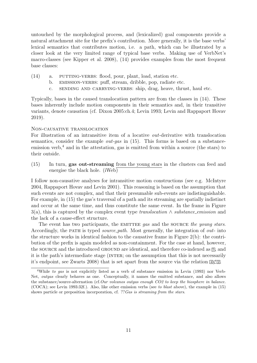untouched by the morphological process, and (lexicalized) goal components provide a natural attachment site for the prefix's contribution. More generally, it is the base verbs' lexical semantics that contributes motion, i.e. a path, which can be illustrated by a closer look at the very limited range of typical base verbs. Making use of VerbNet's macro-classes (see Kipper et al. 2008), (14) provides examples from the most frequent base classes:

- $(14)$  a. PUTTING-VERBS: flood, pour, plant, load, station etc.
	- b. EMISSION-VERBS: puff, stream, dribble, pop, radiate etc.
	- c. SENDING AND CARRYING-VERBS: ship, drag, heave, thrust, haul etc.

Typically, bases in the caused translocation pattern are from the classes in (14). These bases inherently include motion components in their semantics and, in their transitive variants, denote causation (cf. Dixon 2005:ch.4; Levin 1993; Levin and Rappaport Hovav 2019).

#### Non-causative translocation

For illustration of an intransitive item of a locative out-derivative with translocation semantics, consider the example *out-qas* in  $(15)$ . This forms is based on a substanceemission verb,<sup>4</sup> and in the attestation, gas is emitted from within a source (the stars) to their outside.

(15) In turn, gas out-streaming from the young stars in the clusters can feed and energise the black hole. (iWeb)

I follow non-causative analyses for intransitive motion constructions (see e.g. McIntyre 2004, Rappaport Hovav and Levin 2001). This reasoning is based on the assumption that such events are not complex, and that their presumable sub-events are indistinguishable. For example, in (15) the gas's traversal of a path and its streaming are spatially indistinct and occur at the same time, and thus constitute the same event. In the frame in Figure 3(a), this is captured by the complex event type translocation  $\wedge$  substance emission and the lack of a cause-effect structure.

The event has two participants, the EMITTEE gas and the SOURCE the young stars. Accordingly, the PATH is typed *source path*. Most generally, the integration of *out-* into the structure works in identical fashion to the causative frame in Figure 2(b): the contribution of the prefix is again modeled as non-containment. For the case at hand, however, the SOURCE and the introduced GROUND are identical, and therefore co-indexed as  $\overline{5}$ , and it is the path's intermediate stage (INTER; on the assumption that this is not necessarily it's endpoint, see Zwarts 2008) that is set apart from the source via the relation  $\mathbb{Z}[\mathbb{Z}]$ .

<sup>&</sup>lt;sup>4</sup>While to gas is not explicitly listed as a verb of substance emission in Levin (1993) nor Verb-Net, outgas clearly behaves as one. Conceptually, it names the emitted substance, and also allows the substance/source-alternation (cf.Our volcanos outgas enough CO2 to keep the biosphere in balance. (COCA); see Levin 1993:32f.). Also, like other emission verbs (see to blast above), the example in (15) shows particle or preposition incorporation, cf. ?? Gas is streaming from the stars.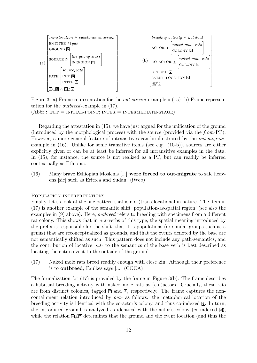

Figure 3: a) Frame representation for the *out-stream*-example in(15). b) Frame representation for the outbreed-example in (17).

 $(Abbr.: INT = INTIAL-POINT; INTER = INTERMEDIATE-STAGE)$ 

Regarding the attestation in (15), we have just argued for the unification of the ground (introduced by the morphological process) with the source (provided via the from-PP). However, a more general feature of intransitives can be illustrated by the *out-migrate*example in  $(16)$ . Unlike for some transitive items (see e.g.  $(10-b)$ ), sources are either explicitly given or can be at least be inferred for all intransitive examples in the data. In (15), for instance, the source is not realized as a PP, but can readily be inferred contextually as Ethiopia.

(16) Many brave Ethiopian Moslems [...] were forced to out-migrate to safe heavens [sic] such as Eritrea and Sudan. (iWeb)

#### POPULATION INTERPRETATIONS

Finally, let us look at the one pattern that is not (trans)locational in nature. The item in (17) is another example of the semantic shift 'population-as-spatial region' (see also the examples in (9) above). Here, outbreed refers to breeding with specimens from a different rat colony. This shows that in *out-verbs* of this type, the spatial meaning introduced by the prefix is responsible for the shift, that it is populations (or similar groups such as a genus) that are reconceptualized as grounds, and that the events denoted by the base are not semantically shifted as such. This pattern does not include any path-semantics, and the contribution of locative out- to the semantics of the base verb is best described as locating the entire event to the outside of the ground.

(17) Naked mole rats breed readily enough with close kin. Although their preference is to outbreed, Faulkes says [...] (COCA)

The formalization for (17) is provided by the frame in Figure 3(b). The frame describes a habitual breeding activity with naked mole rats as (co-)actors. Crucially, these rats are from distinct colonies, tagged  $\boxed{2}$  and  $\boxed{4}$ , respectively. The frame captures the noncontainment relation introduced by out- as follows: the metaphorical location of the breeding activity is identical with the co-actor's colony, and thus co-indexed  $\mathbb{I}$ . In turn, the introduced ground is analyzed as identical with the actor's colony (co-indexed  $\boxed{2}$ ), while the relation  $\mathbb{Z}(\mathbb{Z})$  determines that the ground and the event location (and thus the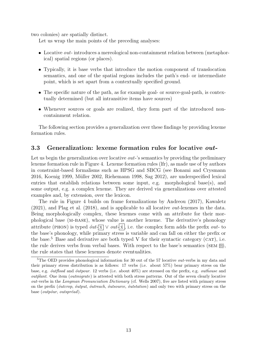two colonies) are spatially distinct.

Let us wrap the main points of the preceding analyses:

- Locative *out*-introduces a mereological non-containment relation between (metaphorical) spatial regions (or places).
- Typically, it is base verbs that introduce the motion component of translocation semantics, and one of the spatial regions includes the path's end- or intermediate point, which is set apart from a contextually specified ground.
- The specific nature of the path, as for example goal- or source-goal-path, is contextually determined (but all intransitive items have sources)
- Whenever sources or goals are realized, they form part of the introduced noncontainment relation.

The following section provides a generalization over these findings by providing lexeme formation rules.

#### 3.3 Generalization: lexeme formation rules for locative out-

Let us begin the generalization over locative *out*-'s semantics by providing the preliminary lexeme formation rule in Figure 4. Lexeme formation rules (lfr), as made use of by authors in constraint-based formalisms such as HPSG and SBCG (see Bonami and Crysmann 2016, Koenig 1999, Müller 2002, Riehemann 1998, Sag 2012), are underspecified lexical entries that establish relations between some input, e.g. morphological base(s), and some output, e.g. a complex lexeme. They are derived via generalizations over attested examples and, by extension, over the lexicon.

The rule in Figure 4 builds on frame formalizations by Andreou (2017), Kawaletz  $(2021)$ , and Plag et al.  $(2018)$ , and is applicable to all locative *out*-lexemes in the data. Being morphologically complex, these lexemes come with an attribute for their morphological base (m-base), whose value is another lexeme. The derivative's phonology attribute (PHON) is typed  $\delta ut-\overline{x} \vee out-\overline{x}$ , i.e. the complex form adds the prefix out- to the base's phonology, while primary stress is variable and can fall on either the prefix or the base.<sup>5</sup> Base and derivative are both typed V for their syntactic category (CAT), i.e. the rule derives verbs from verbal bases. With respect to the base's semantics (SEM  $[0]$ ), the rule states that these lexemes denote eventualities.

<sup>&</sup>lt;sup>5</sup>The OED provides phonological information for 30 out of the 57 locative *out*-verbs in my data and their primary stress distribution is as follows: 17 verbs (i.e. about 57%) bear primary stress on the base, e.g. *outflood* and *outpour.* 12 verbs (i.e. about  $40\%$ ) are stressed on the prefix, e.g. *outhouse* and  $output$ . One item (*outmigrate*) is attested with both stress patterns. Out of the seven clearly locative out-verbs in the Longman Pronunciation Dictionary (cf. Wells 2007), five are listed with primary stress on the prefix ( $\acute{o}uterop$ ,  $\acute{o}utput$ ,  $\acute{o}utreach$ ,  $\acute{o}utsource$ ,  $\acute{o}utstation$ ) and only two with primary stress on the base (*outpour*, *outspréad*).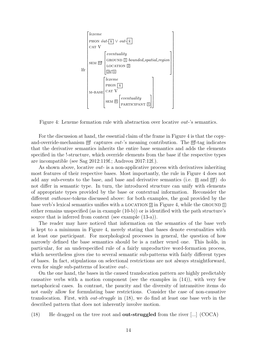

Figure 4: Lexeme formation rule with abstraction over locative out-'s semantics.

For the discussion at hand, the essential claim of the frame in Figure 4 is that the copyand-override-mechanism  $\boxed{0}$ ! captures *out-*'s meaning contribution. The  $\boxed{0}$ !-tag indicates that the derivative semantics inherits the entire base semantics and adds the elements specified in the !-structure, which override elements from the base if the respective types are incompatible (see Sag 2012:119f.; Andreou 2017:12f.).

As shown above, locative *out*- is a non-applicative process with derivatives inheriting most features of their respective bases. Most importantly, the rule in Figure 4 does not add any sub-events to the base, and base and derivative semantics (i.e.  $\Box$  and  $\Box$ !) do not differ in semantic type. In turn, the introduced structure can unify with elements of appropriate types provided by the base or contextual information. Reconsider the different outhouse-tokens discussed above: for both examples, the goal provided by the base verb's lexical semantics unifies with a LOCATION  $\mathbb{Z}$  in Figure 4, while the GROUND  $\mathbb{Z}$ either remains unspecified (as in example (10-b)) or is identified with the path structure's source that is inferred from context (see example (13-a)).

The reader may have noticed that information on the semantics of the base verb is kept to a minimum in Figure 4, merely stating that bases denote eventualities with at least one participant. For morphological processes in general, the question of how narrowly defined the base semantics should be is a rather vexed one. This holds, in particular, for an underspecified rule of a fairly unproductive word-formation process, which nevertheless gives rise to several semantic sub-patterns with fairly different types of bases. In fact, stipulations on selectional restrictions are not always straightforward, even for single sub-patterns of locative out-.

On the one hand, the bases in the caused translocation pattern are highly predictably causative verbs with a motion component (see the examples in (14)), with very few metaphorical cases. In contrast, the paucity and the diversity of intransitive items do not easily allow for formulating base restrictions. Consider the case of non-causative translocation. First, with out-struggle in (18), we do find at least one base verb in the described pattern that does not inherently involve motion.

(18) He dragged on the tree root and out-struggled from the river [...] (COCA)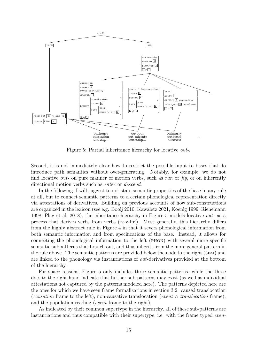

Figure 5: Partial inheritance hierarchy for locative out-.

Second, it is not immediately clear how to restrict the possible input to bases that do introduce path semantics without over-generating. Notably, for example, we do not find locative *out*- on pure manner of motion verbs, such as run or  $f(y)$ , or on inherently directional motion verbs such as enter or descend.

In the following, I will suggest to not state semantic properties of the base in any rule at all, but to connect semantic patterns to a certain phonological representation directly via attestations of derivatives. Building on previous accounts of how sub-constructions are organized in the lexicon (see e.g. Booij 2010, Kawaletz 2021, Koenig 1999, Riehemann 1998, Plag et al. 2018), the inheritance hierarchy in Figure 5 models locative out- as a process that derives verbs from verbs ('v-v-lfr'). Most generally, this hierarchy differs from the highly abstract rule in Figure 4 in that it severs phonological information from both semantic information and from specifications of the base. Instead, it allows for connecting the phonological information to the left (phon) with several more specific semantic subpatterns that branch out, and thus inherit, from the more general pattern in the rule above. The semantic patterns are provided below the node to the right (sem) and are linked to the phonology via instantiations of out-derivatives provided at the bottom of the hierarchy.

For space reasons, Figure 5 only includes three semantic patterns, while the three dots to the right-hand indicate that further sub-patterns may exist (as well as individual attestations not captured by the patterns modeled here). The patterns depicted here are the ones for which we have seen frame formalizations in section 3.2: caused translocation (causation frame to the left), non-causative translocation (event  $\wedge$  translocation frame), and the population reading (event frame to the right).

As indicated by their common supertype in the hierarchy, all of these sub-patterns are instantiations and thus compatible with their supertype, i.e. with the frame typed even-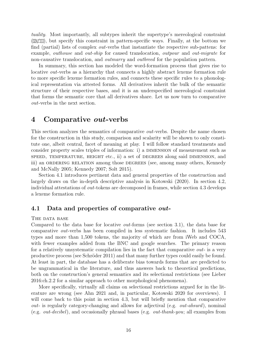tuality. Most importantly, all subtypes inherit the supertype's mereological constraint  $(\mathbb{Z} \times \mathbb{Z})$ , but specify this constraint in pattern-specific ways. Finally, at the bottom we find (partial) lists of complex out-verbs that instantiate the respective sub-pattens: for example, outhouse and out-ship for caused translocation, outpour and out-migrate for non-causative translocation, and *outmarry* and *outbreed* for the population pattern.

In summary, this section has modeled the word-formation process that gives rise to locative *out*-verbs as a hierarchy that connects a highly abstract lexeme formation rule to more specific lexeme formation rules, and connects these specific rules to a phonological representation via attested forms. All derivatives inherit the bulk of the semantic structure of their respective bases, and it is an underspecified mereological constraint that forms the semantic core that all derivatives share. Let us now turn to comparative out-verbs in the next section.

### 4 Comparative out-verbs

This section analyzes the semantics of comparative *out*-verbs. Despite the name chosen for the construction in this study, comparison and scalarity will be shown to only constitute one, albeit central, facet of meaning at play. I will follow standard treatments and consider property scales triples of information: i) a DIMENSION of measurement such as speed, temperature, height etc., ii) a set of degrees along said dimension, and iii) an ORDERING RELATION among those DEGREES (see, among many others, Kennedy and McNally 2005; Kennedy 2007; Solt 2015).

Section 4.1 introduces pertinent data and general properties of the construction and largely draws on the in-depth descriptive analysis in Kotowski (2020). In section 4.2, individual attestations of out-tokens are decomposed in frames, while section 4.3 develops a lexeme formation rule.

### 4.1 Data and properties of comparative *out*-

#### THE DATA BASE

Compared to the data base for locative out-forms (see section 3.1), the data base for comparative out-verbs has been compiled in less systematic fashion. It includes 543 types and more than 1,500 tokens, the majority of which are from iWeb and COCA, with fewer examples added from the BNC and google searches. The primary reason for a relatively unsystematic compilation lies in the fact that comparative *out*- is a very productive process (see Schröder 2011) and that many further types could easily be found. At least in part, the database has a deliberate bias towards forms that are predicted to be ungrammatical in the literature, and thus answers back to theoretical predictions, both on the construction's general semantics and its selectional restrictions (see Lieber 2016:ch.2.2 for a similar approach to other morphological phenomena).

More specifically, virtually all claims on selectional restrictions argued for in the literature are wrong (see Ahn 2021 and, in particular, Kotowski 2020 for overviews). I will come back to this point in section 4.3, but will briefly mention that comparative *out-* is regularly category-changing and allows for adjectival (e.g. *out-absurd*), nominal (e.g. out-decibel), and occasionally phrasal bases (e.g. out-thank-you; all examples from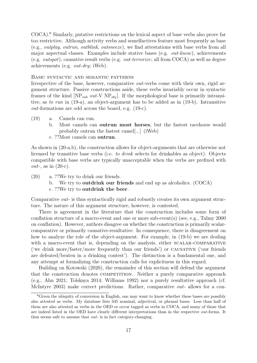COCA).<sup>6</sup> Similarly, putative restrictions on the lexical aspect of base verbs also prove far too restrictive. Although activity verbs and semelfactives feature most frequently as base (e.g., outplay, outrun, outblink, outsneeze), we find attestations with base verbs from all major aspectual classes. Examples include stative bases (e.g. out-know), achievements (e.g. *outspot*), causative result verbs (e.g. *out-terrorize*; all from COCA) as well as degree achievements (e.g. out-dry; iWeb).

#### Basic syntactic and semantic patterns

Irrespective of the base, however, comparative *out*-verbs come with their own, rigid argument structure. Passive constructions aside, these verbs invariably occur in syntactic frames of the kind  $[NP_{sub} out-V NP_{obj}]$ . If the morphological base is primarily intransitive, as to run in (19-a), an object-argument has to be added as in (19-b). Intransitive out-formations are odd across the board, e.g. (19-c).

- (19) a. Camels can run.
	- b. Most camels can outrun most horses, but the fastest racehorse would probably outrun the fastest camel[...] (iWeb)
	- c. ??Most camels can outrun.

As shown in (20-a,b), the construction allows for object-arguments that are otherwise not licensed by transitive base verbs (i.e. to drink selects for drinkables as object). Objects compatible with base verbs are typically unacceptable when the verbs are prefixed with *out*-, as in  $(20-c)$ .

(20) a. ??We try to drink our friends. b. We try to outdrink our friends and end up as alcoholics. (COCA) c. ??We try to outdrink the beer.

Comparative out- is thus syntactically rigid and robustly creates its own argument structure. The nature of this argument structure, however, is contested.

There is agreement in the literature that the construction includes some form of conflation structure of a macro-event and one or more sub-event(s) (see, e.g., Talmy 2000 on conflation). However, authors disagree on whether the construction is primarily scalarcomparative or primarily causative-resultative. In consequence, there is disagreement on how to analyze the role of the object-argument. For example, in (19-b) we are dealing with a macro-event that is, depending on the analysis, either SCALAR-COMPARATIVE ('we drink more/faster/more frequently than our friends') or causative ('our friends are defeated/beaten in a drinking contest'). The distinction is a fundamental one, and any attempt at formalizing the construction calls for explicitness in this regard.

Building on Kotowski (2020), the remainder of this section will defend the argument that the construction denotes COMPETITION. Neither a purely comparative approach (e.g., Ahn 2021; Tolskaya 2014; Williams 1992) nor a purely resultative approach (cf. McIntyre 2003) make correct predictions. Rather, comparative out- allows for a con-

 $6$ Given the ubiquity of conversion in English, one may want to know whether these bases are possibly also attested as verbs. My database lists 345 nominal, adjectival, or phrasal bases. Less than half of them are also attested as verbs in the OED or occur tagged as verbs in COCA, and many of those that are indeed listed in the OED have clearly different interpretations than in the respective out-forms. It thus seems safe to assume that out- is in fact category-changing.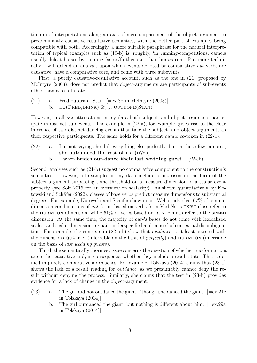tinuum of interpretations along an axis of mere surpassment of the object-argument to predominantly causative-resultative semantics, with the better part of examples being compatible with both. Accordingly, a more suitable paraphrase for the natural interpretation of typical examples such as (19-b) is, roughly, 'in running-competitions, camels usually defeat horses by running faster/farther etc. than horses run'. Put more technically, I will defend an analysis upon which events denoted by comparative out-verbs are causative, have a comparative core, and come with three subevents.

First, a purely causative-resultative account, such as the one in (21) proposed by McIntyre (2003), does not predict that object-arguments are participants of sub-events other than a result state.

- (21) a. Fred outdrank Stan. [=ex.8b in McIntyre (2003)]
	- b.  $DO(FRED,DRINK) \&_{\text{cays}} OUTDONE(STAN)$

However, in all *out*-attestations in my data both subject- and object-arguments participate in distinct sub-events. The example in (22-a), for example, gives rise to the clear inference of two distinct dancing-events that take the subject- and object-arguments as their respective participants. The same holds for a different outdance-token in (22-b).

- (22) a. I'm not saying she did everything else perfectly, but in those few minutes, she outdanced the rest of us. (iWeb)
	- b. ...when brides out-dance their last wedding guest... (iWeb)

Second, analyses such as (21-b) suggest no comparative component to the construction's semantics. However, all examples in my data include comparison in the form of the subject-argument surpassing some threshold on a measure dimension of a scalar event property (see Solt 2015 for an overview on scalarity). As shown quantitatively by Kotowski and Schäfer (2022), classes of base verbs predict measure dimensions to substantial degrees. For example, Kotowski and Schäfer show in an iWeb study that 67% of lemmadimension combinations of *out*-forms based on verbs from VerbNet's EXIST class refer to the DURATION dimension, while  $51\%$  of verbs based on RUN lemmas refer to the SPEED dimension. At the same time, the majority of out-'s bases do not come with lexicalized scales, and scalar dimensions remain underspecified and in need of contextual disambiguation. For example, the contexts in (22-a,b) show that outdance is at least attested with the dimensions QUALITY (inferrable on the basis of  $perfectly$ ) and DURATION (inferrable on the basis of last wedding guests).

Third, the semantically thorniest issue concerns the question of whether *out*-formations are in fact causative and, in consequence, whether they include a result state. This is denied in purely comparative approaches. For example, Tolskaya (2014) claims that (23-a) shows the lack of a result reading for *outdance*, as we presumably cannot deny the result without denying the process. Similarly, she claims that the test in (23-b) provides evidence for a lack of change in the object-argument.

- (23) a. The girl did not outdance the giant, \*though she danced the giant.  $[=ex.21c$ in Tolskaya (2014)]
	- b. The girl outdanced the giant, but nothing is different about him. [=ex.29a in Tolskaya (2014)]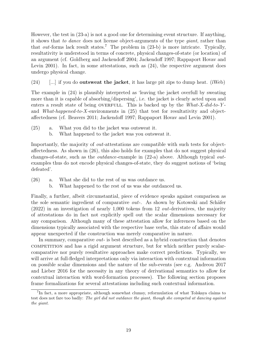However, the test in (23-a) is not a good one for determining event structure. If anything, it shows that to dance does not license object-arguments of the type giant, rather than that *out*-forms lack result states.<sup>7</sup> The problem in  $(23-b)$  is more intricate. Typically, resultativity is understood in terms of concrete, physical changes-of-state (or location) of an argument (cf. Goldberg and Jackendoff 2004; Jackendoff 1997; Rappaport Hovav and Levin 2001). In fact, in some attestations, such as  $(24)$ , the respective argument does undergo physical change.

 $(24)$  [...] if you do **outsweat the jacket**, it has large pit zips to dump heat. (iWeb)

The example in (24) is plausibly interpreted as 'leaving the jacket overfull by sweating more than it is capable of absorbing/dispersing', i.e. the jacket is clearly acted upon and enters a result state of being OVERFULL. This is backed up by the  $What-X-did-to-Y$ and *What-happened-to-X*-environments in  $(25)$  that test for resultativity and objectaffectedness (cf. Beavers 2011; Jackendoff 1997; Rappaport Hovav and Levin 2001).

- (25) a. What you did to the jacket was outsweat it.
	- b. What happened to the jacket was you outsweat it.

Importantly, the majority of out-attestations are compatible with such tests for objectaffectedness. As shown in (26), this also holds for examples that do not suggest physical changes-of-state, such as the outdance-example in (22-a) above. Although typical outexamples thus do not encode physical changes-of-state, they do suggest notions of 'being defeated'.

- (26) a. What she did to the rest of us was outdance us.
	- b. What happened to the rest of us was she outdanced us.

Finally, a further, albeit circumstantial, piece of evidence speaks against comparison as the sole semantic ingredient of comparative *out*-. As shown by Kotowski and Schäfer (2022) in an investigation of nearly 1,000 tokens from 12 out-derivatives, the majority of attestations do in fact not explicitly spell out the scalar dimensions necessary for any comparison. Although many of these attestation allow for inferences based on the dimensions typically associated with the respective base verbs, this state of affairs would appear unexpected if the construction was merely comparative in nature.

In summary, comparative out- is best described as a hybrid construction that denotes competition and has a rigid argument structure, but for which neither purely scalarcomparative nor purely resultative approaches make correct predictions. Typically, we will arrive at full-fledged interpretations only via interaction with contextual information on possible scalar dimensions and the nature of the sub-events (see e.g. Andreou 2017 and Lieber 2016 for the necessity in any theory of derivational semantics to allow for contextual interaction with word-formation processes). The following section proposes frame formalizations for several attestations including such contextual information.

<sup>7</sup> In fact, a more appropriate, although somewhat clumsy, reformulation of what Tolskaya claims to test does not fare too badly: The girl did not outdance the giant, though she competed at dancing against the giant.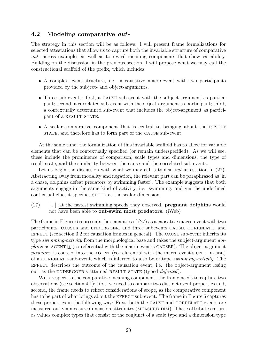### 4.2 Modeling comparative out-

The strategy in this section will be as follows: I will present frame formalizations for selected attestations that allow us to capture both the invariable structure of comparative out- across examples as well as to reveal meaning components that show variability. Building on the discussion in the previous section, I will propose what we may call the constructional scaffold of the prefix, which includes:

- A complex event structure, i.e. a causative macro-event with two participants provided by the subject- and object-arguments.
- Three sub-events: first, a cause sub-event with the subject-argument as participant; second, a correlated sub-event with the object-argument as participant; third, a contextually determined sub-event that includes the object-argument as participant of a RESULT STATE.
- A scalar-comparative component that is central to bringing about the RESULT strate, and therefore has to form part of the CAUSE sub-event.

At the same time, the formalization of this invariable scaffold has to allow for variable elements that can be contextually specified (or remain underspecified). As we will see, these include the prominence of comparison, scale types and dimensions, the type of result state, and the similarity between the cause and the correlated sub-events.

Let us begin the discussion with what we may call a typical *out*-attestation in  $(27)$ . Abstracting away from modality and negation, the relevant part can be paraphrased as 'in a chase, dolphins defeat predators by swimming faster'. The example suggests that both arguments engage in the same kind of activity, i.e. swimming, and via the underlined contextual clue, it specifies speed as the scalar dimension.

(27) [...] at the fastest swimming speeds they observed, pregnant dolphins would not have been able to out-swim most predators. (iWeb)

The frame in Figure 6 represents the semantics of (27) as a causative macro-event with two participants, causer and undergoer, and three subevents cause, correlate, and  $E$ FFECT (see section 3.2 for causation frames in general). The CAUSE sub-event inherits its type swimming-activity from the morphological base and takes the subject-argument dol*phins* as AGENT  $\mathbb{I}$  (co-referential with the macro-event's CAUSER). The object-argument  $predators$  is coerced into the AGENT (co-referential with the macro-event's UNDERGOER) of a CORRELATE-sub-event, which is inferred to also be of type *swimming-activity*. The effect describes the outcome of the causation event, i.e. the object-argument losing out, as the UNDERGOER's attained RESULT STATE (typed *defeated*).

With respect to the comparative meaning component, the frame needs to capture two observations (see section 4.1): first, we need to compare two distinct event properties and, second, the frame needs to reflect considerations of scope, as the comparative component has to be part of what brings about the EFFECT sub-event. The frame in Figure 6 captures these properties in the following way: First, both the CAUSE and CORRELATE events are measured out via measure dimension attributes (measure-dim). These attributes return as values complex types that consist of the conjunct of a scale type and a dimension type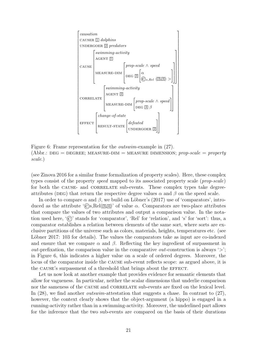

Figure 6: Frame representation for the outswim-example in (27). (Abbr.: DEG = DEGREE; MEASURE-DIM = MEASURE DIMENSION; prop-scale = property scale.)

(see Zinova 2016 for a similar frame formalization of property scales). Here, these complex types consist of the property speed mapped to its associated property scale (prop-scale) for both the CAUSE- and CORRELATE sub-events. These complex types take degreeattributes (DEG) that return the respective degree values  $\alpha$  and  $\beta$  on the speed scale.

In order to compare  $\alpha$  and  $\beta$ , we build on Löbner's (2017) use of 'comparators', introduced as the attribute ' $\mathcal{C}_s$ ,Rel $(\mathbb{Z}, \mathbb{Z})$ ' of value  $\alpha$ . Comparators are two-place attributes that compare the values of two attributes and output a comparison value. In the notation used here, '©' stands for 'comparator', 'Rel' for 'relation', and 's' for 'sort': thus, a comparator establishes a relation between elements of the same sort, where sorts are exclusive partitions of the universe such as colors, materials, heights, temperatures etc. (see Löbner 2017: 103 for details). The values the comparators take as input are co-indexed and ensure that we compare  $\alpha$  and  $\beta$ . Reflecting the key ingredient of surpassment in *out*-prefixation, the comparison value in the comparative *out*-construction is always  $\langle \rangle$ ; in Figure 6, this indicates a higher value on a scale of ordered degrees. Moreover, the locus of the comparator inside the cause sub-event reflects scope: as argued above, it is the CAUSE's surpassment of a threshold that brings about the EFFECT.

Let us now look at another example that provides evidence for semantic elements that allow for vagueness. In particular, neither the scalar dimensions that underlie comparison nor the sameness of the CAUSE and CORRELATE sub-events are fixed on the lexical level. In  $(28)$ , we find another *outswim*-attestation that suggests a chase. In contrast to  $(27)$ , however, the context clearly shows that the object-argument (a hippo) is engaged in a running-activity rather than in a swimming-activity. Moreover, the underlined part allows for the inference that the two sub-events are compared on the basis of their durations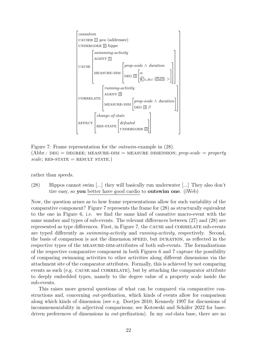

Figure 7: Frame representation for the outswim-example in (28). (Abbr.: DEG = DEGREE; MEASURE-DIM = MEASURE DIMENSION; prop-scale = property  $scale$ ; RES-STATE = RESULT STATE.)

rather than speeds.

(28) Hippos cannot swim [...] they will basically run underwater [...] They also don't tire easy, so you better have good cardio to outswim one. (iWeb)

Now, the question arises as to how frame representations allow for such variability of the comparative component? Figure 7 represents the frame for (28) as structurally equivalent to the one in Figure 6, i.e. we find the same kind of causative macro-event with the same number and types of sub-events. The relevant differences between (27) and (28) are represented as type differences. First, in Figure 7, the CAUSE and CORRELATE sub-events are typed differently as swimming-activity and running-activity, respectively. Second, the basis of comparison is not the dimension speed, but duration, as reflected in the respective types of the measure-dim-attributes of both sub-events. The formalizations of the respective comparative component in both Figures 6 and 7 capture the possibility of comparing swimming activities to other activities along different dimensions via the attachment site of the comparator attributes. Formally, this is achieved by not comparing events as such (e.g. CAUSE and CORRELATE), but by attaching the comparator attribute to deeply embedded types, namely to the degree value of a property scale inside the sub-events.

This raises more general questions of what can be compared via comparative constructions and, concerning out-prefixation, which kinds of events allow for comparison along which kinds of dimension (see e.g. Doetjes 2010; Kennedy 1997 for discussions of incommensurability in adjectival comparisons; see Kotowski and Schäfer 2022 for basedriven preferences of dimensions in *out*-prefixation). In my *out*-data base, there are no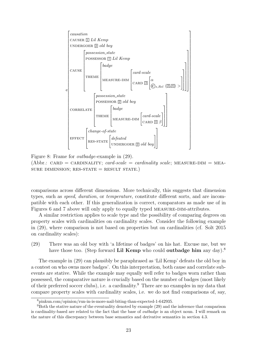

Figure 8: Frame for outbadge-example in (29). (Abbr.: CARD = CARDINALITY; card-scale = cardinality scale; MEASURE-DIM = MEA-SURE DIMENSION; RES-STATE  $=$  RESULT STATE.)

comparisons across different dimensions. More technically, this suggests that dimension types, such as speed, duration, or temperature, constitute different sorts, and are incompatible with each other. If this generalization is correct, comparators as made use of in Figures 6 and 7 above will only apply to equally typed MEASURE-DIM-attributes.

A similar restriction applies to scale type and the possibility of comparing degrees on property scales with cardinalities on cardinality scales. Consider the following example in (29), where comparison is not based on properties but on cardinalities (cf. Solt 2015 on cardinality scales):

(29) There was an old boy with 'a lifetime of badges' on his hat. Excuse me, but we have those too. (Step forward Lil Kemp who could outbadge him any day).<sup>8</sup>

The example in (29) can plausibly be paraphrased as 'Lil Kemp' defeats the old boy in a contest on who owns more badges'. On this interpretation, both cause and correlate subevents are stative. While the example may equally well refer to badges worn rather than possessed, the comparative nature is crucially based on the number of badges (most likely of their preferred soccer clubs), i.e. a cardinality.<sup>9</sup> There are no examples in my data that compare property scales with cardinality scales, i.e. we do not find comparisons of, say,

<sup>8</sup>pinkun.com/opinion/run-in-is-more-nail-biting-than-expected-1-642935.

 $9B$ oth the stative nature of the eventuality denoted by example  $(29)$  and the inference that comparison is cardinality-based are related to the fact that the base of outbadge is an object noun. I will remark on the nature of this discrepancy between base semantics and derivative semantics in section 4.3.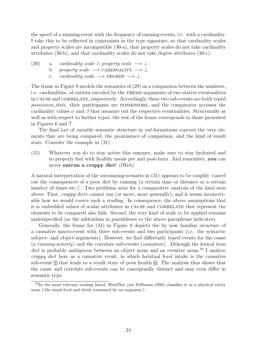the speed of a running-event with the frequency of running-events, i.e. with a cardinality. I take this to be reflected in constraints in the type signature, so that cardinality scales and property scales are incompatible (30-a), that property scales do not take cardinality attributes (30-b), and that cardinality scales do not take degree attributes (30-c):

- (30) a. cardinality scale  $\wedge$  property scale  $\longrightarrow \bot$ 
	- b. property scale  $\longrightarrow$  CARDINALITY  $\longrightarrow \bot$ 
		- c. cardinality scale  $\longrightarrow$  DEGREE  $\longrightarrow \bot$

The frame in Figure 8 models the semantics of (29) as a comparison between the numbers, i.e. cardinalities, of entities encoded by the theme arguments of two stative eventualities in CAUSE and CORRELATE, respectively. Accordingly, these two sub-events are both typed possession state, their participants are possessors, and the comparator accesses the cardinality values  $\alpha$  and  $\beta$  that measure out the respective eventualities. Structurally as well as with respect to further types, the rest of the frame corresponds to those presented in Figures 6 and 7.

The final loci of variable semantic structure in *out*-formations concern the very elements that are being compared, the prominence of comparison, and the kind of result state. Consider the example in (31).

(31) Whatever you do to stay active this summer, make sure to stay hydrated and to properly fuel with healthy meals pre and post-burn. And remember, you can never outrun a crappy diet! (iWeb)

A natural interpretation of the outrunning-scenario in (31) appears to be roughly 'cancel out the consequences of a poor diet by running (a certain time or distance or a certain number of times etc.). Two problems arise for a comparative analysis of the kind seen above. First, *crappy diets* cannot run (or move, more generally), and it seems inconceivable how we would coerce such a reading. In consequence, the above assumptions that it is embedded values of scalar attributes in CAUSE and CORRELATE that represent the elements to be compared also fails. Second, the very kind of scale to be applied remains underspecified (as the addendum in parentheses to the above paraphrase indicates).

Generally, the frame for (31) in Figure 9 depicts the by now familiar structure of a causative macro-event with three sub-events and two participants (i.e. the syntactic subject- and object-arguments). However, we find differently typed events for the cause (a running-activity) and the correlate sub-events (causation). Although the lexical item diet is probably ambiguous between an object noun and an eventive noun,<sup>10</sup> I analyze crappy diet here as a causative event, in which habitual food intake is the causative sub-event  $\mathbb{Z}$  that leads to a result state of poor health  $\mathbb{G}$ . The analysis thus shows that the cause and correlate sub-events can be conceptually distinct and may even differ in semantic type.

<sup>&</sup>lt;sup>10</sup>In the most relevant reading listed, WordNet (see Fellbaum 1998) classifies it as a physical entity noun ('the usual food and drink consumed by an organism').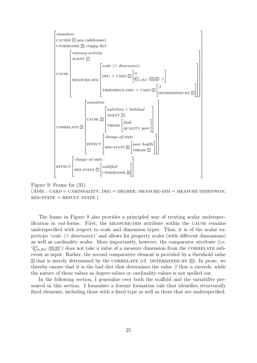

Figure 9: Frame for (31).

 $(Abbr.: CARD = CARDINALITY; DEG = DEGREE; MEASURE-DIM = MEASURE DIMENSION;$  $RES-STATE = RESULT STATE.$ )

The frame in Figure 9 also provides a principled way of treating scalar underspecification in out-forms. First, the measure-dim attribute within the cause remains underspecified with respect to scale and dimension types. Thus, it is of the scalar supertype 'scale (∧ dimension)' and allows for property scales (with different dimensions) as well as cardinality scales. More importantly, however, the comparator attribute (i.e.  $(\widehat{C}_{s,Rel}(\overline{3,4})')$  does not take a value of a measure dimension from the CORRELATE subevent as input. Rather, the second comparative element is provided by a threshold value  $\boxed{4}$  that is merely determined by the CORRELATE (cf. DETERMINED-BY  $\boxed{5}$ ). In prose, we thereby ensure that it is the bad diet that determines the value  $\beta$  that  $\alpha$  exceeds, while the nature of these values as degree-values or cardinality-values is not spelled out.

In the following section, I generalize over both the scaffold and the variability presented in this section. I formulate a lexeme formation rule that identifies structurally fixed elements, including those with a fixed type as well as those that are underspecified.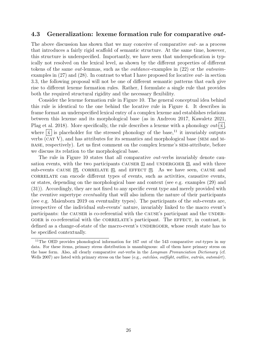### 4.3 Generalization: lexeme formation rule for comparative *out*-

The above discussion has shown that we may conceive of comparative *out*- as a process that introduces a fairly rigid scaffold of semantic structure. At the same time, however, this structure is underspecified. Importantly, we have seen that underspefication is typically not resolved on the lexical level, as shown by the different properties of different tokens of the same out-lemmas, such as the outdance-examples in (22) or the outswimexamples in (27) and (28). In contrast to what I have proposed for locative out- in section 3.3, the following proposal will not be one of different semantic patterns that each give rise to different lexeme formation rules. Rather, I formulate a single rule that provides both the required structural rigidity and the necessary flexibility.

Consider the lexeme formation rule in Figure 10. The general conceptual idea behind this rule is identical to the one behind the locative rule in Figure 4. It describes in frame format an underspecified lexical entry of a complex lexeme and establishes relations between this lexeme and its morphological base (as in Andreou 2017, Kawaletz 2021, Plag et al. 2018). More specifically, the rule describes a lexeme with a phonology  $out\vec{x}$ , where  $\overline{\dot{x}}$  is placeholder for the stressed phonology of the base,<sup>11</sup> it invariably outputs verbs  $(\overline{CAT} V)$ , and has attributes for its semantics and morphological base (SEM and Mbase, respectively). Let us first comment on the complex lexeme's sem-attribute, before we discuss its relation to the morphological base.

The rule in Figure 10 states that all comparative *out*-verbs invariably denote causation events, with the two participants CAUSER  $\Box$  and UNDERGOER  $\Box$ , and with three sub-events CAUSE  $[0, 0]$ , CORRELATE  $[6, 0]$ , and EFFECT  $[9, 0]$ . As we have seen, CAUSE and correlate can encode different types of events, such as activities, causative events, or states, depending on the morphological base and context (see e.g. examples (29) and (31)). Accordingly, they are not fixed to any specific event type and merely provided with the eventive supertype eventuality that will also inform the nature of their participants (see e.g. Maienborn 2019 on eventuality types). The participants of the sub-events are, irrespective of the individual sub-events' nature, invariably linked to the macro event's participants: the CAUSER is co-referential with the CAUSE's participant and the UNDER-GOER is co-referential with the CORRELATE's participant. The EFFECT, in contrast, is defined as a change-of-state of the macro-event's UNDERGOER, whose result state has to be specified contextually.

<sup>&</sup>lt;sup>11</sup>The OED provides phonological information for 167 out of the 543 comparative *out*-types in my data. For these items, primary stress distribution is unambiguous: all of them have primary stress on the base form. Also, all clearly comparative out-verbs in the Longman Pronunciation Dictionary (cf. Wells 2007) are listed with primary stress on the base (e.g., *outcláss, outfíght, outlive, outrin, outsmart)*.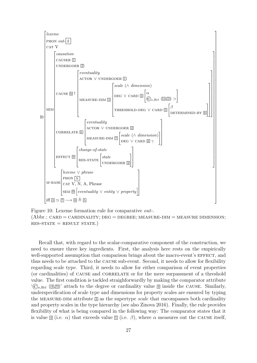

Figure 10: Lexeme formation rule for comparative out-.  $(Abbr.: CARD = CARDINALITY; DEG = DEGREE; MEASURE-DIM = MEASURE DIMENSION;$  $RES-STATE = RESULT STATE.$ )

Recall that, with regard to the scalar-comparative component of the construction, we need to ensure three key ingredients. First, the analysis here rests on the empirically well-supported assumption that comparison brings about the macro-event's EFFECT, and thus needs to be attached to the cause sub-event. Second, it needs to allow for flexibility regarding scale type. Third, it needs to allow for either comparison of event properties (or cardinalities) of cause and correlate or for the mere surpassment of a threshold value. The first condition is tackled straighforwardly by making the comparator attribute  $(\widehat{C}_{s,Rel} \ (\overline{4,5})$  attach to the degree or cardinality value  $\overline{4}$  inside the CAUSE. Similarly, underspecification of scale type and dimensions for property scales are ensured by typing the MEASURE-DIM attribute  $\mathbb{S}$  as the supertype scale that encompasses both cardinality and property scales in the type hierarchy (see also Zinova 2016). Finally, the rule provides flexibility of what is being compared in the following way: The comparator states that it is value  $\mathbb{I}$  (i.e.  $\alpha$ ) that exceeds value  $\mathbb{I}$  (i.e.  $\beta$ ), where  $\alpha$  measures out the CAUSE itself,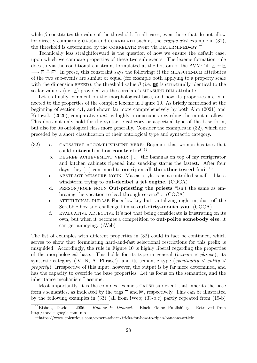while  $\beta$  constitutes the value of the threshold. In all cases, even those that do not allow for directly comparing CAUSE and CORRELATE such as the *crappy-diet* example in  $(31)$ , the threshold is determined by the CORRELATE event via DETERMINED-BY 6.

Technically less straightforward is the question of how we ensure the default case, upon which we compare properties of these two sub-events. The lexeme formation rule does so via the conditional constraint formulated at the bottom of the AVM: 'iff  $\mathbb{S} \simeq \mathbb{S}$  $\rightarrow \mathbb{R} \triangleq \mathbb{S}'$ . In prose, this constraint says the following: if the MEASURE-DIM attributes of the two sub-events are similar or equal (for example both applying to a property scale with the dimension speed), the threshold value  $\beta$  (i.e.  $\mathbb{E}$ ) is structurally identical to the scalar value  $\gamma$  (i.e.  $\mathbb{B}$ ) provided via the correlate's MEASURE-DIM attribute.

Let us finally comment on the morphological base, and how its properties are connected to the properties of the complex lexeme in Figure 10. As briefly mentioned at the beginning of section 4.1, and shown far more comprehensively by both Ahn (2021) and Kotowski (2020), comparative out- is highly promiscuous regarding the input it allows. This does not only hold for the syntactic category or aspectual type of the base form, but also for its ontological class more generally. Consider the examples in (32), which are preceded by a short classification of their ontological type and syntactic category.

- (32) a. causative accomplishment verb: Bojemoi, that woman has toes that could outcrush a boa constrictor!"<sup>12</sup>
	- b. DEGREE ACHIEVEMENT VERB: [...] the bananas on top of my refrigerator and kitchen cabinets ripened into snacking status the fastest. After four days, they [...] continued to **outripen all the other tested fruit**.<sup>13</sup>
	- c. abstract measure noun: Mascis' style is as a controlled squall like a windstorm trying to out-decibel a jet engine. (COCA)
	- d. PERSON/ROLE NOUN **Out-priesting the priests** "isn't the same as embracing the vocation to lead through service"... (COCA)
	- e. attitudinal phrase For a low-key but tantalizing night in, dust off the Scrabble box and challenge him to out-dirty-mouth you. (COCA)
	- f. EVALUATIVE ADJECTIVE It's not that being considerate is frustrating on its own, but when it becomes a competition to out-polite somebody else, it can get annoying. (iWeb)

The list of examples with different properties in (32) could in fact be continued, which serves to show that formulating hard-and-fast selectional restrictions for this prefix is misguided. Accordingly, the rule in Figure 10 is highly liberal regarding the properties of the morphological base. This holds for its type in general (lexeme  $\vee$  phrase), its syntactic category ('V, N, A, Phrase'), and its semantic type (eventuality  $\vee$  entity  $\vee$ property). Irrespective of this input, however, the output is by far more determined, and has the capacity to override the base properties. Let us focus on the semantics, and the inheritance mechanism I assume.

Most importantly, it is the complex lexeme's cause sub-event that inherits the base form's semantics, as indicated by the tags  $\boxed{0}$  and  $\boxed{0}$ , respectively. This can be illustrated by the following examples in (33) (all from iWeb; (33-b,c) partly repeated from (19-b)

<sup>&</sup>lt;sup>12</sup>Bishop, David. 2006. Honour be Damned. Black Flame Publishing. Retrieved from http.//books.google.com, n.p.

<sup>13</sup>https://www.epicurious.com/expert-advice/tricks-for-how-to-ripen-bananas-article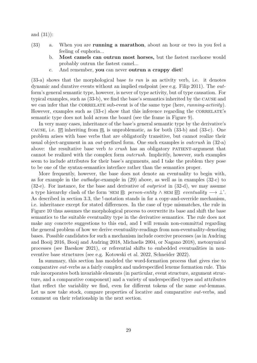and (31)):

- (33) a. When you are running a marathon, about an hour or two in you feel a feeling of euphoria...
	- b. Most camels can outrun most horses, but the fastest racehorse would probably outrun the fastest camel...
	- c. And remember, you can never outrun a crappy diet!

(33-a) shows that the morphological base to run is an activity verb, i.e. it denotes dynamic and durative events without an implied endpoint (see e.g. Filip 2011). The outform's general semantic type, however, is never of type activity, but of type causation. For typical examples, such as (33-b), we find the base's semantics inherited by the cause and we can infer that the CORRELATE sub-event is of the same type (here, running-activity). However, examples such as  $(33-c)$  show that this inference regarding the CORRELATE's semantic type does not hold across the board (see the frame in Figure 9).

In very many cases, inheritance of the base's general semantic type by the derivative's cause, i.e.  $\boxed{0}$  inheriting from  $\boxed{0}$ , is unproblematic, as for both (33-b) and (33-c). One problem arises with base verbs that are obligatorily transitive, but cannot realize their usual object-argument in an *out*-prefixed form. One such examples is *outcrush* in  $(32-a)$ above: the resultative base verb to crush has an obligatory PATIENT-argument that cannot be realized with the complex form outcrush. Implicitly, however, such examples seem to include attributes for their base's arguments, and I take the problem they pose to be one of the syntax-semantics interface rather than the semantics proper.

More frequently, however, the base does not denote an eventuality to begin with, as for example in the outbadge-example in (29) above, as well as in examples (32-c) to (32-e). For instance, for the base and derivative of outpriest in (32-d), we may assume a type hierarchy clash of the form 'SEM  $\overline{\omega}$ : *person-entity* ∧ SEM  $\overline{\omega}$ : *eventuality*  $\longrightarrow \bot'$ . As described in section 3.3, the !-notation stands in for a copy-and-override mechanism, i.e. inheritance except for stated differences. In the case of type mismatches, the rule in Figure 10 thus assumes the morphological process to overwrite its base and shift the base semantics to the suitable eventuality type in the derivative semantics. The rule does not make any concrete suggestions to this end, and I will remain non-committal regarding the general problem of how we derive eventuality-readings from non-eventuality-denoting bases. Possible candidates for such a mechanism include coercive processes (as in Audring and Booij 2016, Booij and Audring 2018, Michaelis 2004, or Nagano 2018), metonymical processes (see Baeskow 2021), or referential shifts to embedded eventualities in noneventive base structures (see e.g. Kotowski et al. 2022, Schneider 2022).

In summary, this section has modeled the word-formation process that gives rise to comparative out-verbs as a fairly complex and underspecified lexeme formation rule. This rule incorporates both invariable elements (in particular, event structure, argument structure, and a comparative component) and a variety of underspecified types and attributes that reflect the variablity we find, even for different tokens of the same out-lemmas. Let us now take stock, compare properties of locative and comparative *out*-verbs, and comment on their relationship in the next section.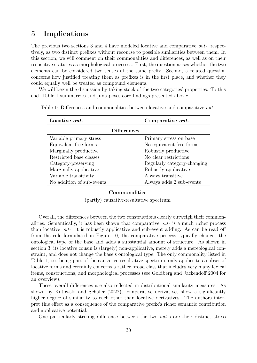# 5 Implications

The previous two sections 3 and 4 have modeled locative and comparative *out*-, respectively, as two distinct prefixes without recourse to possible similarities between them. In this section, we will comment on their commonalities and differences, as well as on their respective statuses as morphological processes. First, the question arises whether the two elements can be considered two senses of the same prefix. Second, a related question concerns how justified treating them as prefixes is in the first place, and whether they could equally well be treated as compound elements.

We will begin the discussion by taking stock of the two categories' properties. To this end, Table 1 summarizes and juxtaposes core findings presented above:

| Locative <i>out</i> -                   | Comparative <i>out</i> -    |
|-----------------------------------------|-----------------------------|
| <b>Differences</b>                      |                             |
| Variable primary stress                 | Primary stress on base      |
| Equivalent free forms                   | No equivalent free forms    |
| Marginally productive                   | Robustly productive         |
| Restricted base classes                 | No clear restrictions       |
| Category-preserving                     | Regularly category-changing |
| Marginally applicative                  | Robustly applicative        |
| Variable transitivity                   | Always transitive           |
| No addition of sub-events               | Always adds 2 sub-events    |
| Commonalities                           |                             |
| (partly) causative-resultative spectrum |                             |

Table 1: Differences and commonalities between locative and comparative out-.

Overall, the differences between the two constructions clearly outweigh their commonalities. Semantically, it has been shown that comparative out- is a much richer process than locative out-: it is robustly applicative and sub-event adding. As can be read off from the rule formulated in Figure 10, the comparative process typically changes the ontological type of the base and adds a substantial amount of structure. As shown in section 3, its locative cousin is (largely) non-applicative, merely adds a mereological constraint, and does not change the base's ontological type. The only commonality listed in Table 1, i.e. being part of the causative-resultative spectrum, only applies to a subset of locative forms and certainly concerns a rather broad class that includes very many lexical items, constructions, and morphological processes (see Goldberg and Jackendoff 2004 for an overview).

These overall differences are also reflected in distributional similarity measures. As shown by Kotowski and Schäfer  $(2022)$ , comparative derivatives show a significantly higher degree of similarity to each other than locative derivatives. The authors interpret this effect as a consequence of the comparative prefix's richer semantic contribution and applicative potential.

One particularly striking difference between the two out-s are their distinct stress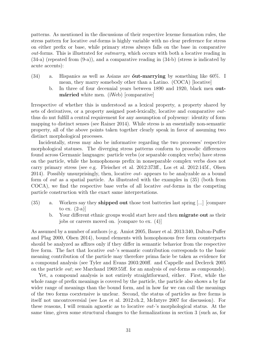patterns. As mentioned in the discussions of their respective lexeme formation rules, the stress pattern for locative out-forms is highly variable with no clear preference for stress on either prefix or base, while primary stress always falls on the base in comparative out-forms. This is illustrated for outmarry, which occurs with both a locative reading in  $(34-a)$  (repeated from  $(9-a)$ ), and a comparative reading in  $(34-b)$  (stress is indicated by acute accents):

- $(34)$  a. Hispanics as well as Asians are **out-marrying** by something like 60%. I mean, they marry somebody other than a Latino. (COCA) [locative]
	- b. In three of four decennial years between 1890 and 1920, black men outmárried white men. (iWeb) [comparative]

Irrespective of whether this is understood as a lexical property, a property shared by sets of derivatives, or a property assigned post-lexically, locative and comparative outthus do nut fulfill a central requirement for any assumption of polysemy: identity of form mapping to distinct senses (see Rainer 2014). While stress is an essentially non-semantic property, all of the above points taken together clearly speak in favor of assuming two distinct morphological processes.

Incidentally, stress may also be informative regarding the two processes' respective morphological statuses. The diverging stress patterns conform to prosodic differences found across Germanic languages: particle verbs (or separable complex verbs) have stress on the particle, while the homophonous prefix in nonseparable complex verbs does not carry primary stress (see e.g. Fleischer et al. 2012:373ff., Los et al. 2012:145f., Olsen 2014). Possibly unsurprisingly, then, locative *out*- appears to be analyzable as a bound form of out as a spatial particle. As illustrated with the examples in (35) (both from COCA), we find the respective base verbs of all locative out-forms in the competing particle construction with the exact same interpretations.

- (35) a. Workers say they shipped out those test batteries last spring [...] [compare to ex.  $(2-a)$ ]
	- b. Your different ethnic groups would start here and then migrate out as their jobs or careers moved on. [compare to ex. (4)]

As assumed by a number of authors (e.g. Amiot 2005, Bauer et al. 2013:340, Dalton-Puffer and Plag 2000, Olsen 2014), bound elements with homophonous free form counterparts should be analyzed as affixes only if they differ in semantic behavior from the respective free form. The fact that locative out-'s semantic contribution corresponds to the basic meaning contribution of the particle may therefore prima facie be taken as evidence for a compound analysis (see Tyler and Evans 2003:200ff. and Cappelle and Declerck 2005 on the particle out; see Marchand 1969:55ff. for an analysis of out-forms as compounds).

Yet, a compound analysis is not entirely straightforward, either. First, while the whole range of prefix meanings is covered by the particle, the particle also shows a by far wider range of meanings than the bound form, and in how far we can call the meanings of the two forms coextensive is unclear. Second, the status of particles as free forms is itself not uncontroversial (see Los et al. 2012:ch.2, McIntyre 2007 for discussion). For these reasons, I will remain agnostic as to locative out-'s morphological status. At the same time, given some structural changes to the formalizations in section 3 (such as, for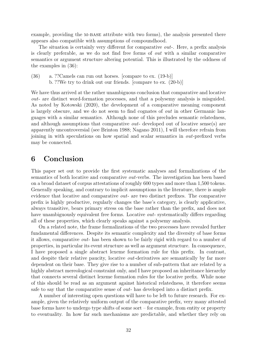example, providing the M-BASE attribute with two forms), the analysis presented there appears also compatible with assumptions of compoundhood.

The situation is certainly very different for comparative *out*-. Here, a prefix analysis is clearly preferable, as we do not find free forms of out with a similar comparative semantics or argument structure altering potential. This is illustrated by the oddness of the examples in (36):

(36) a. ??Camels can run out horses. [compare to ex. (19-b)] b. ??We try to drink out our friends. [compare to ex. (20-b)]

We have thus arrived at the rather unambiguous conclusion that comparative and locative out- are distinct word-formation processes, and that a polysemy analysis is misguided. As noted by Kotowski (2020), the development of a comparative meaning component is largely obscure, and we do not seem to find cognates of out in other Germanic languages with a similar semantics. Although none of this precludes semantic relatedness, and although assumptions that comparative *out*- developed out of locative sense(s) are apparently uncontroversial (see Brinton 1988; Nagano 2011), I will therefore refrain from joining in with speculations on how spatial and scalar semantics in out-prefixed verbs may be connected.

### 6 Conclusion

This paper set out to provide the first systematic analyses and formalizations of the semantics of both locative and comparative out-verbs. The investigation has been based on a broad dataset of corpus attestations of roughly 600 types and more than 1,500 tokens. Generally speaking, and contrary to implicit assumptions in the literature, there is ample evidence that locative and comparative out- are two distinct prefixes. The comparative prefix is highly productive, regularly changes the base's category, is clearly applicative, always transitive, bears primary stress on the base rather than the prefix, and does not have unambiguously equivalent free forms. Locative *out-* systematically differs regarding all of these properties, which clearly speaks against a polysemy analysis.

On a related note, the frame formalizations of the two processes have revealed further fundamental differences. Despite its semantic complexity and the diversity of base forms it allows, comparative out- has been shown to be fairly rigid with regard to a number of properties, in particular its event structure as well as argument structure. In consequence, I have proposed a single abstract lexeme formation rule for this prefix. In contrast, and despite their relative paucity, locative out-derivatives are semantically by far more dependent on their base. They give rise to a number of sub-pattern that are related by a highly abstract mereological constraint only, and I have proposed an inheritance hierarchy that connects several distinct lexeme formation rules for the locative prefix. While none of this should be read as an argument against historical relatedness, it therefore seems safe to say that the comparative sense of out- has developed into a distinct prefix.

A number of interesting open questions will have to be left to future research. For example, given the relatively uniform output of the comparative prefix, very many attested base forms have to undergo type shifts of some sort – for example, from entity or property to eventuality. In how far such mechanisms are predictable, and whether they rely on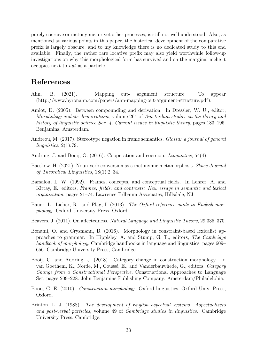purely coercive or metonymic, or yet other processes, is still not well understood. Also, as mentioned at various points in this paper, the historical development of the comparative prefix is largely obscure, and to my knowledge there is no dedicated study to this end available. Finally, the rather rare locative prefix may also yield worthwhile follow-up investigations on why this morphological form has survived and on the marginal niche it occupies next to out as a particle.

# References

- Ahn, B. (2021). Mapping out- argument structure: To appear (http://www.byronahn.com/papers/ahn-mapping-out-argument-structure.pdf).
- Amiot, D. (2005). Between compounding and derivation. In Dressler, W. U., editor, Morphology and its demarcations, volume 264 of Amsterdam studies in the theory and history of linguistic science Ser. 4, Current issues in linguistic theory, pages 183–195. Benjamins, Amsterdam.
- Andreou, M. (2017). Stereotype negation in frame semantics. Glossa: a journal of general linguistics, 2(1):79.
- Audring, J. and Booij, G. (2016). Cooperation and coercion. Linguistics, 54(4).
- Baeskow, H. (2021). Noun-verb conversion as a metonymic metamorphosis. Skase Journal of Theoretical Linguistics, 18(1):2–34.
- Barsalou, L. W. (1992). Frames, concepts, and conceptual fields. In Lehrer, A. and Kittay, E., editors, Frames, fields, and contrasts: New essays in semantic and lexical organization, pages 21–74. Lawrence Erlbaum Associates, Hillsdale, NJ.
- Bauer, L., Lieber, R., and Plag, I. (2013). The Oxford reference guide to English morphology. Oxford University Press, Oxford.
- Beavers, J. (2011). On affectedness. Natural Language and Linguistic Theory, 29:335–370.
- Bonami, O. and Crysmann, B. (2016). Morphology in constraint-based lexicalist approaches to grammar. In Hippisley, A. and Stump, G. T., editors, The Cambridge handbook of morphology, Cambridge handbooks in language and linguistics, pages 609– 656. Cambridge University Press, Cambridge.
- Booij, G. and Audring, J. (2018). Category change in construction morphology. In van Goethem, K., Norde, M., Coussé, E., and Vanderbauwhede, G., editors, Category Change from a Constructional Perspective, Constructional Approaches to Language Ser, pages 209–228. John Benjamins Publishing Company, Amsterdam/Philadelphia.
- Booij, G. E. (2010). Construction morphology. Oxford linguistics. Oxford Univ. Press, Oxford.
- Brinton, L. J. (1988). The development of English aspectual systems: Aspectualizers and post-verbal particles, volume 49 of Cambridge studies in linguistics. Cambridge University Press, Cambridge.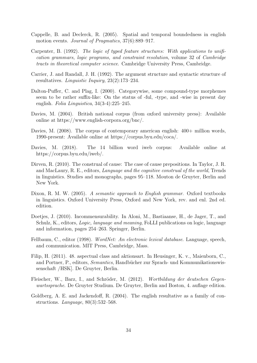- Cappelle, B. and Declerck, R. (2005). Spatial and temporal boundedness in english motion events. Journal of Pragmatics, 37(6):889–917.
- Carpenter, B. (1992). The logic of typed feature structures: With applications to unification grammars, logic programs, and constraint resolution, volume 32 of Cambridge tracts in theoretical computer science. Cambridge University Press, Cambridge.
- Carrier, J. and Randall, J. H. (1992). The argument structure and syntactic structure of resultatives. Linguistic Inquiry, 23(2):173–234.
- Dalton-Puffer, C. and Plag, I. (2000). Categorywise, some compound-type morphemes seem to be rather suffix-like: On the status of -ful, -type, and -wise in present day english. Folia Linguistica, 34(3-4):225–245.
- Davies, M. (2004). British national corpus (from oxford university press): Available online at https://www.english-corpora.org/bnc/.
- Davies, M. (2008). The corpus of contemporary american english:  $400+$  million words, 1990-present: Available online at https://corpus.byu.edu/coca/.
- Davies, M. (2018). The 14 billion word iweb corpus: Available online at https://corpus.byu.edu/iweb/.
- Dirven, R. (2010). The construal of cause: The case of cause prepositions. In Taylor, J. R. and MacLaury, R. E., editors, Language and the cognitive construal of the world, Trends in linguistics. Studies and monographs, pages 95–118. Mouton de Gruyter, Berlin and New York.
- Dixon, R. M. W. (2005). A semantic approach to English grammar. Oxford textbooks in linguistics. Oxford University Press, Oxford and New York, rev. and enl. 2nd ed. edition.
- Doetjes, J. (2010). Incommensurability. In Aloni, M., Bastiaanse, H., de Jager, T., and Schulz, K., editors, *Logic, language and meaning*, FoLLI publications on logic, language and information, pages 254–263. Springer, Berlin.
- Fellbaum, C., editor (1998). WordNet: An electronic lexical database. Language, speech, and communication. MIT Press, Cambridge, Mass.
- Filip, H. (2011). 48. aspectual class and aktionsart. In Heusinger, K. v., Maienborn, C., and Portner, P., editors, *Semantics*, Handbücher zur Sprach- und Kommunikationswissenschaft /HSK]. De Gruyter, Berlin.
- Fleischer, W., Barz, I., and Schröder, M. (2012). Wortbildung der deutschen Gegenwartssprache. De Gruyter Studium. De Gruyter, Berlin and Boston, 4. auflage edition.
- Goldberg, A. E. and Jackendoff, R. (2004). The english resultative as a family of constructions. Language, 80(3):532–568.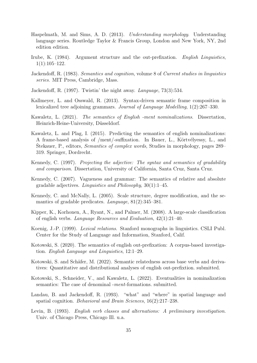- Haspelmath, M. and Sims, A. D. (2013). Understanding morphology. Understanding language series. Routledge Taylor & Francis Group, London and New York, NY, 2nd edition edition.
- Irube, K. (1984). Argument structure and the out-prefixation. English Linguistics,  $1(1):105-122.$
- Jackendoff, R. (1983). Semantics and cognition, volume 8 of Current studies in linguistics series. MIT Press, Cambridge, Mass.
- Jackendoff, R. (1997). Twistin' the night away. Language, 73(3):534.
- Kallmeyer, L. and Osswald, R. (2013). Syntax-driven semantic frame composition in lexicalized tree adjoining grammars. Journal of Language Modelling, 1(2):267–330.
- Kawaletz, L. (2021). The semantics of English -ment nominalizations. Dissertation, Heinrich-Heine-University, Düsseldorf.
- Kawaletz, L. and Plag, I. (2015). Predicting the semantics of english nominalizations: A frame-based analysis of /ment/-suffixation. In Bauer, L., Körtvélyessy, L., and Stekauer, P., editors, *Semantics of complex words*, Studies in morphology, pages 289– 319. Springer, Dordrecht.
- Kennedy, C. (1997). Projecting the adjective: The syntax and semantics of gradability and comparison. Dissertation, University of California, Santa Cruz, Santa Cruz.
- Kennedy, C. (2007). Vagueness and grammar: The semantics of relative and absolute gradable adjectives. Linguistics and Philosophy, 30(1):1–45.
- Kennedy, C. and McNally, L. (2005). Scale structure, degree modification, and the semantics of gradable predicates. Language, 81(2):345–381.
- Kipper, K., Korhonen, A., Ryant, N., and Palmer, M. (2008). A large-scale classification of english verbs. Language Resources and Evaluation, 42(1):21–40.
- Koenig, J.-P. (1999). Lexical relations. Stanford monographs in linguistics. CSLI Publ. Center for the Study of Language and Information, Stanford, Calif.
- Kotowski, S. (2020). The semantics of english out-prefixation: A corpus-based investigation. English Language and Linguistics, 12:1–29.
- Kotowski, S. and Schäfer, M. (2022). Semantic relatedness across base verbs and derivatives: Quantitative and distributional analyses of english out-prefixtion. submitted.
- Kotowski, S., Schneider, V., and Kawaletz, L. (2022). Eventualities in nominalization semantics: The case of denominal *-ment*-formations. submitted.
- Landau, B. and Jackendoff, R. (1993). "what" and "where" in spatial language and spatial cognition. Behavioral and Brain Sciences, 16(2):217–238.
- Levin, B. (1993). English verb classes and alternations: A preliminary investigation. Univ. of Chicago Press, Chicago Ill. u.a.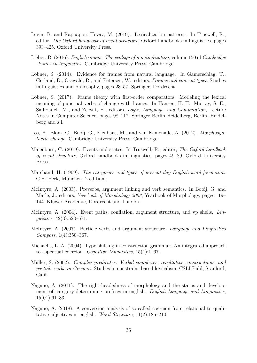- Levin, B. and Rappaport Hovav, M. (2019). Lexicalization patterns. In Truswell, R., editor, The Oxford handbook of event structure, Oxford handbooks in linguistics, pages 393–425. Oxford University Press.
- Lieber, R. (2016). *English nouns: The ecology of nominalization*, volume 150 of *Cambridge* studies in linguistics. Cambridge University Press, Cambridge.
- Löbner, S. (2014). Evidence for frames from natural language. In Gamerschlag, T., Gerland, D., Osswald, R., and Petersen, W., editors, Frames and concept types, Studies in linguistics and philosophy, pages 23–57. Springer, Dordrecht.
- Löbner, S. (2017). Frame theory with first-order comparators: Modeling the lexical meaning of punctual verbs of change with frames. In Hansen, H. H., Murray, S. E., Sadrzadeh, M., and Zeevat, H., editors, Logic, Language, and Computation, Lecture Notes in Computer Science, pages 98–117. Springer Berlin Heidelberg, Berlin, Heidelberg and s.l.
- Los, B., Blom, C., Booij, G., Elenbaas, M., and van Kemenade, A. (2012). Morphosyntactic change. Cambridge University Press, Cambridge.
- Maienborn, C. (2019). Events and states. In Truswell, R., editor, The Oxford handbook of event structure, Oxford handbooks in linguistics, pages 49–89. Oxford University Press.
- Marchand, H. (1969). The categories and types of present-day English word-formation. C.H. Beck, München, 2 edition.
- McIntyre, A. (2003). Preverbs, argument linking and verb semantics. In Booij, G. and Marle, J., editors, Yearbook of Morphology 2003, Yearbook of Morphology, pages 119– 144. Kluwer Academic, Dordrecht and London.
- McIntyre, A. (2004). Event paths, conflation, argument structure, and vp shells. Linguistics, 42(3):523–571.
- McIntyre, A. (2007). Particle verbs and argument structure. Language and Linguistics Compass, 1(4):350–367.
- Michaelis, L. A. (2004). Type shifting in construction grammar: An integrated approach to aspectual coercion. Cognitive Linguistics,  $15(1)$ :1–67.
- Müller, S. (2002). Complex predicates: Verbal complexes, resultative constructions, and particle verbs in German. Studies in constraint-based lexicalism. CSLI Publ, Stanford, Calif.
- Nagano, A. (2011). The right-headedness of morphology and the status and development of category-determining prefixes in english. English Language and Linguistics, 15(01):61–83.
- Nagano, A. (2018). A conversion analysis of so-called coercion from relational to qualitative adjectives in english. Word Structure, 11(2):185–210.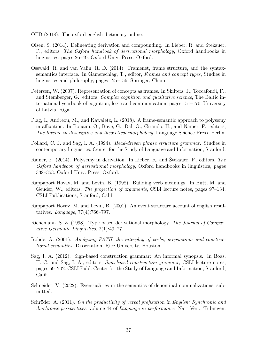- OED (2018). The oxford english dictionary online.
- Olsen, S. (2014). Delineating derivation and compounding. In Lieber, R. and Stekauer, P., editors, The Oxford handbook of derivational morphology, Oxford handbooks in linguistics, pages 26–49. Oxford Univ. Press, Oxford.
- Osswald, R. and van Valin, R. D. (2014). Framenet, frame structure, and the syntaxsemantics interface. In Gamerschlag, T., editor, Frames and concept types, Studies in linguistics and philosophy, pages 125–156. Springer, Cham.
- Petersen, W. (2007). Representation of concepts as frames. In Skilters, J., Toccafondi, F., and Stemberger, G., editors, Complex cognition and qualitative science, The Baltic international yearbook of cognition, logic and communication, pages 151–170. University of Latvia, Riga.
- Plag, I., Andreou, M., and Kawaletz, L. (2018). A frame-semantic approach to polysemy in affixation. In Bonami, O., Boyé, G., Dal, G., Giraudo, H., and Namer, F., editors, The lexeme in descriptive and theoretical morphology. Language Science Press, Berlin.
- Pollard, C. J. and Sag, I. A. (1994). Head-driven phrase structure grammar. Studies in contemporary linguistics. Center for the Study of Language and Information, Stanford.
- Rainer, F. (2014). Polysemy in derivation. In Lieber, R. and Štekauer, P., editors, The Oxford handbook of derivational morphology, Oxford handbooks in linguistics, pages 338–353. Oxford Univ. Press, Oxford.
- Rappaport Hovav, M. and Levin, B. (1998). Building verb meanings. In Butt, M. and Geuder, W., editors, The projection of arguments, CSLI lecture notes, pages 97–134. CSLI Publications, Stanford, Calif.
- Rappaport Hovav, M. and Levin, B. (2001). An event structure account of english resultatives. Language, 77(4):766–797.
- Riehemann, S. Z. (1998). Type-based derivational morphology. The Journal of Comparative Germanic Linguistics, 2(1):49–77.
- Rohde, A. (2001). Analyzing PATH: the interplay of verbs, prepositions and constructional semantics. Dissertation, Rice University, Houston.
- Sag, I. A. (2012). Sign-based construction grammar: An informal synopsis. In Boas, H. C. and Sag, I. A., editors, Sign-based construction grammar, CSLI lecture notes, pages 69–202. CSLI Publ. Center for the Study of Language and Information, Stanford, Calif.
- Schneider, V. (2022). Eventualities in the semantics of denominal nominalizations. submitted.
- Schröder, A.  $(2011)$ . On the productivity of verbal prefixation in English: Synchronic and  $diachronic \,\,\text{perspectives}, \,\text{volume} \,\,44 \,\,\text{of} \,\,\text{Language} \,\,\text{in} \,\,\text{performance}.$  Narr Verl., Tübingen.